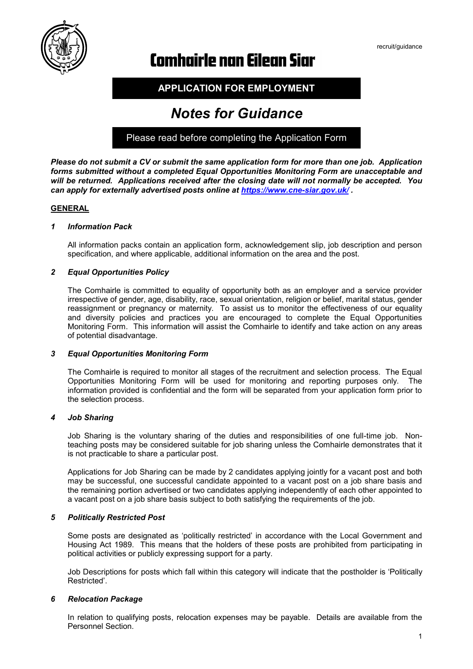

# **Comhairle nan Eilean Siar**

**APPLICATION FOR EMPLOYMENT**

# *Notes for Guidance*

Please read before completing the Application Form

*Please do not submit a CV or submit the same application form for more than one job. Application forms submitted without a completed Equal Opportunities Monitoring Form are unacceptable and will be returned. Applications received after the closing date will not normally be accepted. You can apply for externally advertised posts online at<https://www.cne-siar.gov.uk/> .*

# **GENERAL**

# *1 Information Pack*

All information packs contain an application form, acknowledgement slip, job description and person specification, and where applicable, additional information on the area and the post.

# *2 Equal Opportunities Policy*

The Comhairle is committed to equality of opportunity both as an employer and a service provider irrespective of gender, age, disability, race, sexual orientation, religion or belief, marital status, gender reassignment or pregnancy or maternity. To assist us to monitor the effectiveness of our equality and diversity policies and practices you are encouraged to complete the Equal Opportunities Monitoring Form. This information will assist the Comhairle to identify and take action on any areas of potential disadvantage.

#### *3 Equal Opportunities Monitoring Form*

The Comhairle is required to monitor all stages of the recruitment and selection process. The Equal Opportunities Monitoring Form will be used for monitoring and reporting purposes only. The information provided is confidential and the form will be separated from your application form prior to the selection process.

#### *4 Job Sharing*

Job Sharing is the voluntary sharing of the duties and responsibilities of one full-time job. Nonteaching posts may be considered suitable for job sharing unless the Comhairle demonstrates that it is not practicable to share a particular post.

Applications for Job Sharing can be made by 2 candidates applying jointly for a vacant post and both may be successful, one successful candidate appointed to a vacant post on a job share basis and the remaining portion advertised or two candidates applying independently of each other appointed to a vacant post on a job share basis subject to both satisfying the requirements of the job.

# *5 Politically Restricted Post*

Some posts are designated as 'politically restricted' in accordance with the Local Government and Housing Act 1989. This means that the holders of these posts are prohibited from participating in political activities or publicly expressing support for a party.

Job Descriptions for posts which fall within this category will indicate that the postholder is 'Politically Restricted'.

# *6 Relocation Package*

In relation to qualifying posts, relocation expenses may be payable. Details are available from the Personnel Section.

recruit/guidance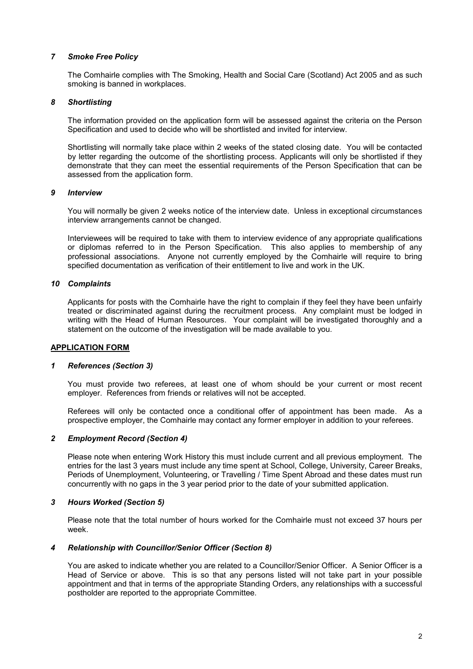# *7 Smoke Free Policy*

The Comhairle complies with The Smoking, Health and Social Care (Scotland) Act 2005 and as such smoking is banned in workplaces.

# *8 Shortlisting*

The information provided on the application form will be assessed against the criteria on the Person Specification and used to decide who will be shortlisted and invited for interview.

Shortlisting will normally take place within 2 weeks of the stated closing date. You will be contacted by letter regarding the outcome of the shortlisting process. Applicants will only be shortlisted if they demonstrate that they can meet the essential requirements of the Person Specification that can be assessed from the application form.

#### *9 Interview*

You will normally be given 2 weeks notice of the interview date. Unless in exceptional circumstances interview arrangements cannot be changed.

Interviewees will be required to take with them to interview evidence of any appropriate qualifications or diplomas referred to in the Person Specification. This also applies to membership of any professional associations. Anyone not currently employed by the Comhairle will require to bring specified documentation as verification of their entitlement to live and work in the UK.

# *10 Complaints*

Applicants for posts with the Comhairle have the right to complain if they feel they have been unfairly treated or discriminated against during the recruitment process. Any complaint must be lodged in writing with the Head of Human Resources. Your complaint will be investigated thoroughly and a statement on the outcome of the investigation will be made available to you.

#### **APPLICATION FORM**

#### *1 References (Section 3)*

You must provide two referees, at least one of whom should be your current or most recent employer. References from friends or relatives will not be accepted.

Referees will only be contacted once a conditional offer of appointment has been made. As a prospective employer, the Comhairle may contact any former employer in addition to your referees.

#### *2 Employment Record (Section 4)*

Please note when entering Work History this must include current and all previous employment. The entries for the last 3 years must include any time spent at School, College, University, Career Breaks, Periods of Unemployment, Volunteering, or Travelling / Time Spent Abroad and these dates must run concurrently with no gaps in the 3 year period prior to the date of your submitted application.

#### *3 Hours Worked (Section 5)*

Please note that the total number of hours worked for the Comhairle must not exceed 37 hours per week.

#### *4 Relationship with Councillor/Senior Officer (Section 8)*

You are asked to indicate whether you are related to a Councillor/Senior Officer. A Senior Officer is a Head of Service or above. This is so that any persons listed will not take part in your possible appointment and that in terms of the appropriate Standing Orders, any relationships with a successful postholder are reported to the appropriate Committee.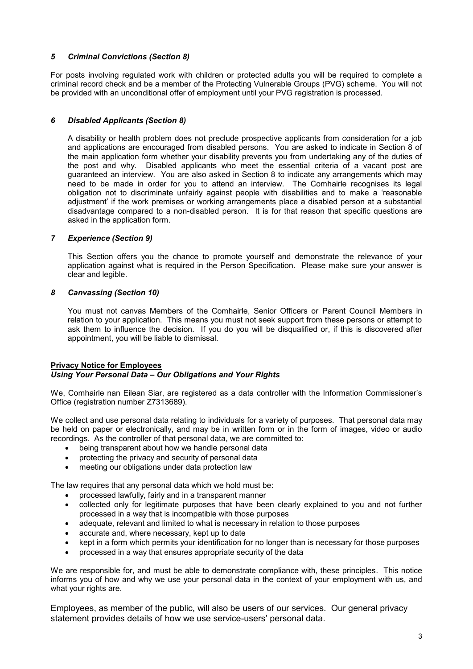# *5 Criminal Convictions (Section 8)*

For posts involving regulated work with children or protected adults you will be required to complete a criminal record check and be a member of the Protecting Vulnerable Groups (PVG) scheme. You will not be provided with an unconditional offer of employment until your PVG registration is processed.

# *6 Disabled Applicants (Section 8)*

A disability or health problem does not preclude prospective applicants from consideration for a job and applications are encouraged from disabled persons. You are asked to indicate in Section 8 of the main application form whether your disability prevents you from undertaking any of the duties of the post and why. Disabled applicants who meet the essential criteria of a vacant post are guaranteed an interview. You are also asked in Section 8 to indicate any arrangements which may need to be made in order for you to attend an interview. The Comhairle recognises its legal obligation not to discriminate unfairly against people with disabilities and to make a 'reasonable adjustment' if the work premises or working arrangements place a disabled person at a substantial disadvantage compared to a non-disabled person. It is for that reason that specific questions are asked in the application form.

# *7 Experience (Section 9)*

This Section offers you the chance to promote yourself and demonstrate the relevance of your application against what is required in the Person Specification. Please make sure your answer is clear and legible.

# *8 Canvassing (Section 10)*

You must not canvas Members of the Comhairle, Senior Officers or Parent Council Members in relation to your application. This means you must not seek support from these persons or attempt to ask them to influence the decision. If you do you will be disqualified or, if this is discovered after appointment, you will be liable to dismissal.

# **Privacy Notice for Employees** *Using Your Personal Data – Our Obligations and Your Rights*

We, Comhairle nan Eilean Siar, are registered as a data controller with the Information Commissioner's Office (registration number Z7313689).

We collect and use personal data relating to individuals for a variety of purposes. That personal data may be held on paper or electronically, and may be in written form or in the form of images, video or audio recordings. As the controller of that personal data, we are committed to:

- being transparent about how we handle personal data
- protecting the privacy and security of personal data
- meeting our obligations under data protection law

The law requires that any personal data which we hold must be:

- processed lawfully, fairly and in a transparent manner
- collected only for legitimate purposes that have been clearly explained to you and not further processed in a way that is incompatible with those purposes
- adequate, relevant and limited to what is necessary in relation to those purposes
- accurate and, where necessary, kept up to date
- kept in a form which permits your identification for no longer than is necessary for those purposes
- processed in a way that ensures appropriate security of the data

We are responsible for, and must be able to demonstrate compliance with, these principles. This notice informs you of how and why we use your personal data in the context of your employment with us, and what your rights are.

Employees, as member of the public, will also be users of our services. Our general privacy statement provides details of how we use service-users' personal data.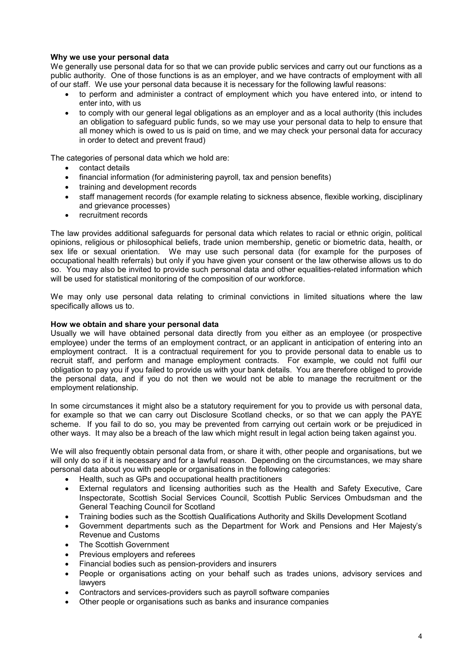# **Why we use your personal data**

We generally use personal data for so that we can provide public services and carry out our functions as a public authority. One of those functions is as an employer, and we have contracts of employment with all of our staff. We use your personal data because it is necessary for the following lawful reasons:

- to perform and administer a contract of employment which you have entered into, or intend to enter into, with us
- to comply with our general legal obligations as an employer and as a local authority (this includes an obligation to safeguard public funds, so we may use your personal data to help to ensure that all money which is owed to us is paid on time, and we may check your personal data for accuracy in order to detect and prevent fraud)

The categories of personal data which we hold are:

- contact details
- financial information (for administering payroll, tax and pension benefits)
- training and development records
- staff management records (for example relating to sickness absence, flexible working, disciplinary and grievance processes)
- recruitment records

The law provides additional safeguards for personal data which relates to racial or ethnic origin, political opinions, religious or philosophical beliefs, trade union membership, genetic or biometric data, health, or sex life or sexual orientation. We may use such personal data (for example for the purposes of occupational health referrals) but only if you have given your consent or the law otherwise allows us to do so. You may also be invited to provide such personal data and other equalities-related information which will be used for statistical monitoring of the composition of our workforce.

We may only use personal data relating to criminal convictions in limited situations where the law specifically allows us to.

#### **How we obtain and share your personal data**

Usually we will have obtained personal data directly from you either as an employee (or prospective employee) under the terms of an employment contract, or an applicant in anticipation of entering into an employment contract. It is a contractual requirement for you to provide personal data to enable us to recruit staff, and perform and manage employment contracts. For example, we could not fulfil our obligation to pay you if you failed to provide us with your bank details. You are therefore obliged to provide the personal data, and if you do not then we would not be able to manage the recruitment or the employment relationship.

In some circumstances it might also be a statutory requirement for you to provide us with personal data, for example so that we can carry out Disclosure Scotland checks, or so that we can apply the PAYE scheme. If you fail to do so, you may be prevented from carrying out certain work or be prejudiced in other ways. It may also be a breach of the law which might result in legal action being taken against you.

We will also frequently obtain personal data from, or share it with, other people and organisations, but we will only do so if it is necessary and for a lawful reason. Depending on the circumstances, we may share personal data about you with people or organisations in the following categories:

- Health, such as GPs and occupational health practitioners
- External regulators and licensing authorities such as the Health and Safety Executive, Care Inspectorate, Scottish Social Services Council, Scottish Public Services Ombudsman and the General Teaching Council for Scotland
- Training bodies such as the Scottish Qualifications Authority and Skills Development Scotland
- Government departments such as the Department for Work and Pensions and Her Majesty's Revenue and Customs
- The Scottish Government
- Previous employers and referees
- Financial bodies such as pension-providers and insurers
- People or organisations acting on your behalf such as trades unions, advisory services and lawyers
- Contractors and services-providers such as payroll software companies
- Other people or organisations such as banks and insurance companies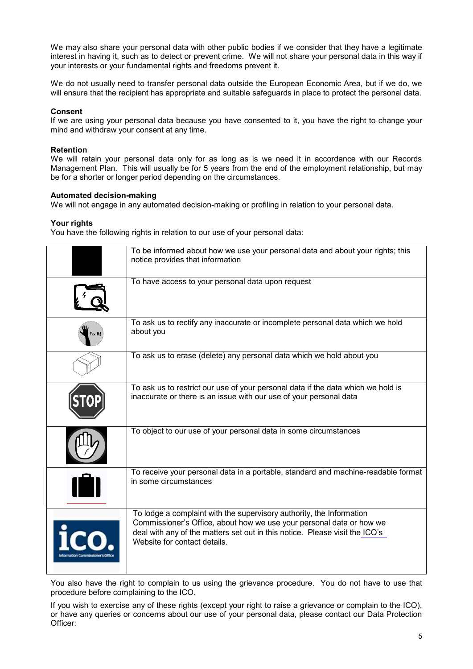We may also share your personal data with other public bodies if we consider that they have a legitimate interest in having it, such as to detect or prevent crime. We will not share your personal data in this way if your interests or your fundamental rights and freedoms prevent it.

We do not usually need to transfer personal data outside the European Economic Area, but if we do, we will ensure that the recipient has appropriate and suitable safeguards in place to protect the personal data.

#### **Consent**

If we are using your personal data because you have consented to it, you have the right to change your mind and withdraw your consent at any time.

# **Retention**

We will retain your personal data only for as long as is we need it in accordance with our Records Management Plan. This will usually be for 5 years from the end of the employment relationship, but may be for a shorter or longer period depending on the circumstances.

#### **Automated decision-making**

We will not engage in any automated decision-making or profiling in relation to your personal data.

# **Your rights**

You have the following rights in relation to our use of your personal data:

| To be informed about how we use your personal data and about your rights; this<br>notice provides that information                                                                                                                                          |
|-------------------------------------------------------------------------------------------------------------------------------------------------------------------------------------------------------------------------------------------------------------|
| To have access to your personal data upon request                                                                                                                                                                                                           |
| To ask us to rectify any inaccurate or incomplete personal data which we hold<br>about you                                                                                                                                                                  |
| To ask us to erase (delete) any personal data which we hold about you                                                                                                                                                                                       |
| To ask us to restrict our use of your personal data if the data which we hold is<br>inaccurate or there is an issue with our use of your personal data                                                                                                      |
| To object to our use of your personal data in some circumstances                                                                                                                                                                                            |
| To receive your personal data in a portable, standard and machine-readable format<br>in some circumstances                                                                                                                                                  |
| To lodge a complaint with the supervisory authority, the Information<br>Commissioner's Office, about how we use your personal data or how we<br>deal with any of the matters set out in this notice. Please visit the ICO's<br>Website for contact details. |

You also have the right to complain to us using the grievance procedure. You do not have to use that procedure before complaining to the ICO.

If you wish to exercise any of these rights (except your right to raise a grievance or complain to the ICO), or have any queries or concerns about our use of your personal data, please contact our Data Protection Officer: